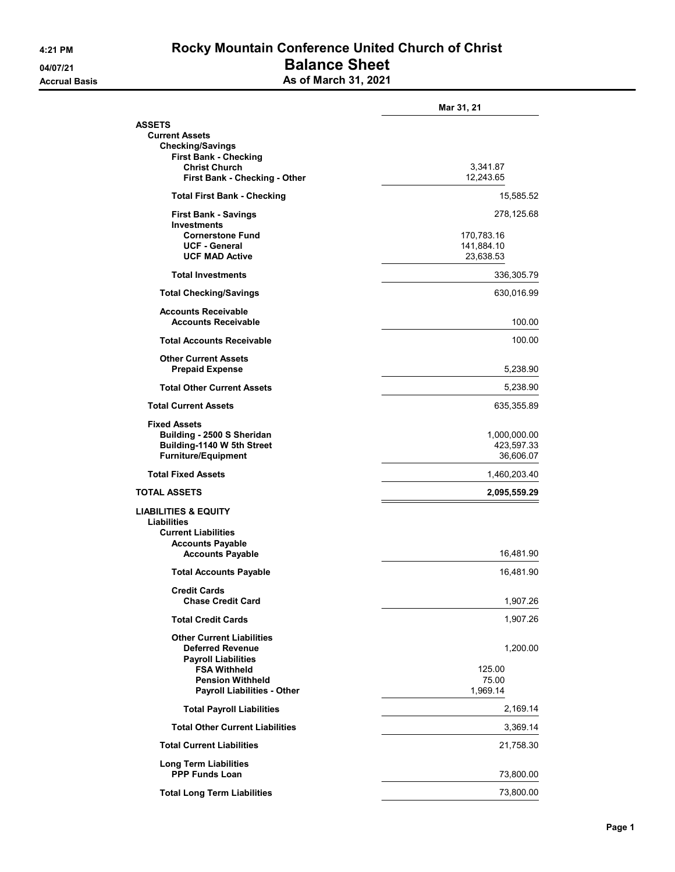## 4:21 PM Rocky Mountain Conference United Church of Christ 04/07/21 **Balance Sheet** Accrual Basis **Accrual Basis** As of March 31, 2021

|                                                                                                                    | Mar 31, 21                            |
|--------------------------------------------------------------------------------------------------------------------|---------------------------------------|
| ASSETS<br><b>Current Assets</b>                                                                                    |                                       |
| <b>Checking/Savings</b><br><b>First Bank - Checking</b>                                                            |                                       |
| <b>Christ Church</b><br>First Bank - Checking - Other                                                              | 3,341.87<br>12,243.65                 |
| <b>Total First Bank - Checking</b>                                                                                 | 15,585.52                             |
| <b>First Bank - Savings</b><br><b>Investments</b>                                                                  | 278,125.68                            |
| <b>Cornerstone Fund</b><br><b>UCF - General</b><br><b>UCF MAD Active</b>                                           | 170,783.16<br>141,884.10<br>23,638.53 |
| <b>Total Investments</b>                                                                                           | 336,305.79                            |
| <b>Total Checking/Savings</b>                                                                                      | 630,016.99                            |
| <b>Accounts Receivable</b><br><b>Accounts Receivable</b>                                                           | 100.00                                |
| <b>Total Accounts Receivable</b>                                                                                   | 100.00                                |
| <b>Other Current Assets</b><br><b>Prepaid Expense</b>                                                              | 5,238.90                              |
| <b>Total Other Current Assets</b>                                                                                  | 5,238.90                              |
| <b>Total Current Assets</b>                                                                                        | 635,355.89                            |
| <b>Fixed Assets</b><br>Building - 2500 S Sheridan                                                                  | 1,000,000.00                          |
| Building-1140 W 5th Street<br><b>Furniture/Equipment</b>                                                           | 423,597.33<br>36,606.07               |
| <b>Total Fixed Assets</b>                                                                                          | 1,460,203.40                          |
| TOTAL ASSETS                                                                                                       | 2,095,559.29                          |
| <b>LIABILITIES &amp; EQUITY</b><br><b>Liabilities</b><br><b>Current Liabilities</b><br><b>Accounts Payable</b>     |                                       |
| <b>Accounts Payable</b>                                                                                            | 16,481.90                             |
| <b>Total Accounts Payable</b>                                                                                      | 16,481.90                             |
| <b>Credit Cards</b><br><b>Chase Credit Card</b>                                                                    | 1,907.26                              |
| <b>Total Credit Cards</b>                                                                                          | 1,907.26                              |
| <b>Other Current Liabilities</b><br><b>Deferred Revenue</b>                                                        | 1,200.00                              |
| <b>Payroll Liabilities</b><br><b>FSA Withheld</b><br><b>Pension Withheld</b><br><b>Payroll Liabilities - Other</b> | 125.00<br>75.00<br>1,969.14           |
| <b>Total Payroll Liabilities</b>                                                                                   | 2,169.14                              |
| <b>Total Other Current Liabilities</b>                                                                             | 3,369.14                              |
| <b>Total Current Liabilities</b>                                                                                   | 21,758.30                             |
| <b>Long Term Liabilities</b><br><b>PPP Funds Loan</b>                                                              | 73,800.00                             |
| <b>Total Long Term Liabilities</b>                                                                                 | 73,800.00                             |